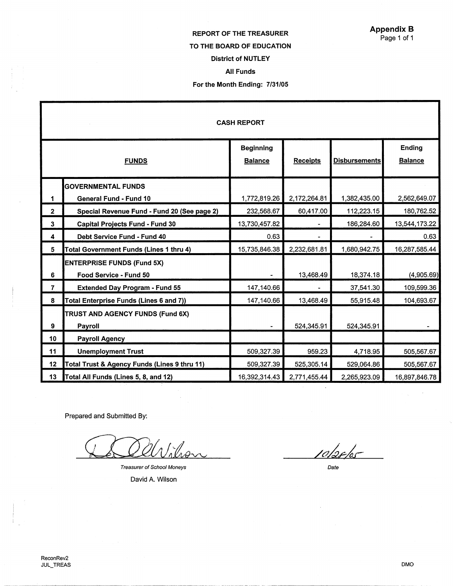Appendix B Page 1 of 1

# REPORT OF THE TREASURER

# TO THE BOARD OF EDUCATION

# District of NUTLEY

# All Funds

## For the Month Ending: 7/31/05

| <b>CASH REPORT</b> |                                              |                                    |                 |                      |                                 |
|--------------------|----------------------------------------------|------------------------------------|-----------------|----------------------|---------------------------------|
| <b>FUNDS</b>       |                                              | <b>Beginning</b><br><b>Balance</b> | <b>Receipts</b> | <b>Disbursements</b> | <b>Ending</b><br><b>Balance</b> |
|                    | <b>GOVERNMENTAL FUNDS</b>                    |                                    |                 |                      |                                 |
| 1                  | General Fund - Fund 10                       | 1,772,819.26                       | 2,172,264.81    | 1,382,435.00         | 2,562,649.07                    |
| $\mathbf{2}$       | Special Revenue Fund - Fund 20 (See page 2)  | 232,568.67                         | 60,417.00       | 112,223.15           | 180,762.52                      |
| 3                  | <b>Capital Projects Fund - Fund 30</b>       | 13,730,457.82                      |                 | 186,284.60           | 13,544,173.22                   |
| 4                  | Debt Service Fund - Fund 40                  | 0.63                               |                 |                      | 0.63                            |
| 5                  | Total Government Funds (Lines 1 thru 4)      | 15,735,846.38                      | 2,232,681.81    | 1,680,942.75         | 16,287,585.44                   |
|                    | <b>ENTERPRISE FUNDS (Fund 5X)</b>            |                                    |                 |                      |                                 |
| 6                  | Food Service - Fund 50                       |                                    | 13,468.49       | 18,374.18            | (4,905.69)                      |
| $\overline{7}$     | <b>Extended Day Program - Fund 55</b>        | 147,140.66                         |                 | 37,541.30            | 109,599.36                      |
| 8                  | Total Enterprise Funds (Lines 6 and 7))      | 147,140.66                         | 13,468.49       | 55,915.48            | 104,693.67                      |
|                    | TRUST AND AGENCY FUNDS (Fund 6X)             |                                    |                 |                      |                                 |
| 9                  | Payroll                                      |                                    | 524,345.91      | 524,345.91           |                                 |
| 10                 | <b>Payroll Agency</b>                        |                                    |                 |                      |                                 |
| 11                 | <b>Unemployment Trust</b>                    | 509,327.39                         | 959.23          | 4,718.95             | 505,567.67                      |
| 12                 | Total Trust & Agency Funds (Lines 9 thru 11) | 509,327.39                         | 525,305.14      | 529,064.86           | 505,567.67                      |
| 13                 | Total All Funds (Lines 5, 8, and 12)         | 16,392,314.43                      | 2,771,455.44    | 2,265,923.09         | 16,897,846.78                   |

Prepared and Submitted By:

West

Treasurer of School Moneys

David A. Wilson

*<u>Iolardor</u>* 

Date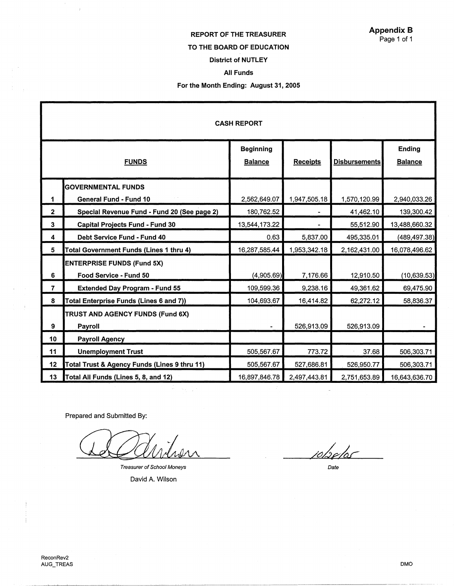#### REPORT OF THE TREASURER

#### TO THE BOARD OF EDUCATION

## Appendix B Page 1 of 1

# District of NUTLEY

### All Funds

## For the Month Ending: August 31, 2005

| <b>CASH REPORT</b> |                                              |                                    |                 |                      |                                 |
|--------------------|----------------------------------------------|------------------------------------|-----------------|----------------------|---------------------------------|
| <b>FUNDS</b>       |                                              | <b>Beginning</b><br><b>Balance</b> | <b>Receipts</b> | <b>Disbursements</b> | <b>Ending</b><br><b>Balance</b> |
|                    | <b>GOVERNMENTAL FUNDS</b>                    |                                    |                 |                      |                                 |
| 1                  | <b>General Fund - Fund 10</b>                | 2,562,649.07                       | 1,947,505.18    | 1,570,120.99         | 2,940,033.26                    |
| $\overline{2}$     | Special Revenue Fund - Fund 20 (See page 2)  | 180,762.52                         |                 | 41,462.10            | 139,300.42                      |
| 3                  | <b>Capital Projects Fund - Fund 30</b>       | 13,544,173.22                      |                 | 55,512.90            | 13,488,660.32                   |
| 4                  | Debt Service Fund - Fund 40                  | 0.63                               | 5,837.00        | 495,335.01           | (489,497.38)                    |
| 5                  | Total Government Funds (Lines 1 thru 4)      | 16,287,585.44                      | 1,953,342.18    | 2,162,431.00         | 16,078,496.62                   |
|                    | <b>ENTERPRISE FUNDS (Fund 5X)</b>            |                                    |                 |                      |                                 |
| 6                  | Food Service - Fund 50                       | (4,905.69)                         | 7,176.66        | 12,910.50            | (10, 639.53)                    |
| $\overline{7}$     | <b>Extended Day Program - Fund 55</b>        | 109,599.36                         | 9,238.16        | 49,361.62            | 69,475.90                       |
| 8                  | Total Enterprise Funds (Lines 6 and 7))      | 104,693.67                         | 16,414.82       | 62,272.12            | 58,836.37                       |
|                    | TRUST AND AGENCY FUNDS (Fund 6X)             |                                    |                 |                      |                                 |
| 9                  | Payroll                                      |                                    | 526,913.09      | 526,913.09           |                                 |
| 10                 | <b>Payroll Agency</b>                        |                                    |                 |                      |                                 |
| 11                 | <b>Unemployment Trust</b>                    | 505,567.67                         | 773.72          | 37.68                | 506,303.71                      |
| 12                 | Total Trust & Agency Funds (Lines 9 thru 11) | 505,567.67                         | 527,686.81      | 526,950.77           | 506,303.71                      |
| 13                 | Total All Funds (Lines 5, 8, and 12)         | 16,897,846.78                      | 2,497,443.81    | 2,751,653.89         | 16,643,636.70                   |
|                    |                                              |                                    |                 |                      |                                 |

Prepared and Submitted By:

 $\bar{t}$ 

Treasurer of School Moneys

David A. Wilson

<u>iobelos</u>

Date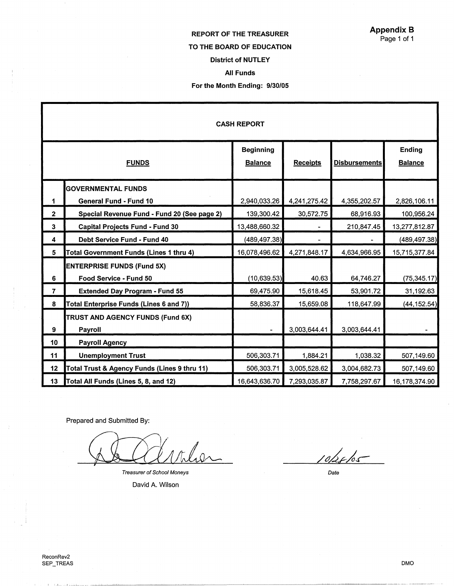## REPORT OF THE TREASURER

#### TO THE BOARD OF EDUCATION

#### District of NUTLEY

# All Funds

#### For the Month Ending: 9/30/05

| <b>CASH REPORT</b>      |                                              |                                    |                 |                      |                                 |
|-------------------------|----------------------------------------------|------------------------------------|-----------------|----------------------|---------------------------------|
| <b>FUNDS</b>            |                                              | <b>Beginning</b><br><b>Balance</b> | <b>Receipts</b> | <b>Disbursements</b> | <b>Ending</b><br><b>Balance</b> |
|                         | <b>GOVERNMENTAL FUNDS</b>                    |                                    |                 |                      |                                 |
| 1                       | <b>General Fund - Fund 10</b>                | 2,940,033.26                       | 4,241,275.42    | 4,355,202.57         | 2,826,106.11                    |
| $\mathbf{2}$            | Special Revenue Fund - Fund 20 (See page 2)  | 139,300.42                         | 30,572.75       | 68,916.93            | 100,956.24                      |
| $\overline{\mathbf{3}}$ | <b>Capital Projects Fund - Fund 30</b>       | 13,488,660.32                      |                 | 210,847.45           | 13,277,812.87                   |
| 4                       | <b>Debt Service Fund - Fund 40</b>           | (489, 497.38)                      | ÷               |                      | (489, 497.38)                   |
| 5                       | Total Government Funds (Lines 1 thru 4)      | 16,078,496.62                      | 4,271,848.17    | 4,634,966.95         | 15,715,377.84                   |
|                         | <b>ENTERPRISE FUNDS (Fund 5X)</b>            |                                    |                 |                      |                                 |
| 6                       | Food Service - Fund 50                       | (10, 639.53)                       | 40.63           | 64,746.27            | (75, 345.17)                    |
| $\overline{7}$          | <b>Extended Day Program - Fund 55</b>        | 69,475.90                          | 15,618.45       | 53,901.72            | 31,192.63                       |
| 8                       | Total Enterprise Funds (Lines 6 and 7))      | 58,836.37                          | 15,659.08       | 118,647.99           | (44, 152.54)                    |
|                         | TRUST AND AGENCY FUNDS (Fund 6X)             |                                    |                 |                      |                                 |
| 9                       | Payroll                                      |                                    | 3,003,644.41    | 3,003,644.41         |                                 |
| 10 <sub>1</sub>         | <b>Payroll Agency</b>                        |                                    |                 |                      |                                 |
| 11                      | <b>Unemployment Trust</b>                    | 506,303.71                         | 1,884.21        | 1,038.32             | 507,149.60                      |
| 12                      | Total Trust & Agency Funds (Lines 9 thru 11) | 506,303.71                         | 3,005,528.62    | 3,004,682.73         | 507,149.60                      |
| 13                      | Total All Funds (Lines 5, 8, and 12)         | 16,643,636.70                      | 7,293,035.87    | 7,758,297.67         | 16,178,374.90                   |

Prepared and Submitted By:

also

Treasurer of School Moneys

David A. Wilson

 $10\frac{1}{105}$ 

Date